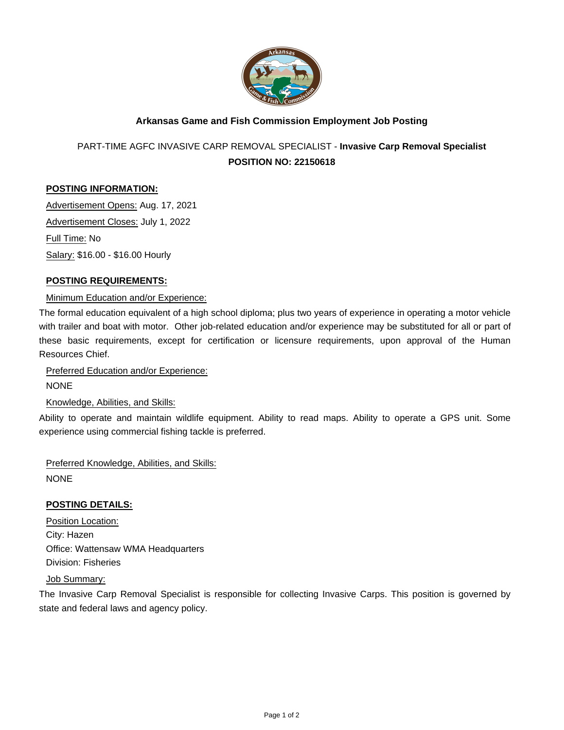

# **Arkansas Game and Fish Commission Employment Job Posting**

PART-TIME AGFC INVASIVE CARP REMOVAL SPECIALIST - **Invasive Carp Removal Specialist POSITION NO: 22150618**

## **POSTING INFORMATION:**

Advertisement Opens: Aug. 17, 2021 Advertisement Closes: July 1, 2022 Full Time: No Salary: \$16.00 - \$16.00 Hourly

## **POSTING REQUIREMENTS:**

#### Minimum Education and/or Experience:

The formal education equivalent of a high school diploma; plus two years of experience in operating a motor vehicle with trailer and boat with motor. Other job-related education and/or experience may be substituted for all or part of these basic requirements, except for certification or licensure requirements, upon approval of the Human Resources Chief.

Preferred Education and/or Experience:

NONE

Knowledge, Abilities, and Skills:

Ability to operate and maintain wildlife equipment. Ability to read maps. Ability to operate a GPS unit. Some experience using commercial fishing tackle is preferred.

Preferred Knowledge, Abilities, and Skills: **NONE** 

#### **POSTING DETAILS:**

Position Location: City: Hazen Office: Wattensaw WMA Headquarters Division: Fisheries

Job Summary:

The Invasive Carp Removal Specialist is responsible for collecting Invasive Carps. This position is governed by state and federal laws and agency policy.